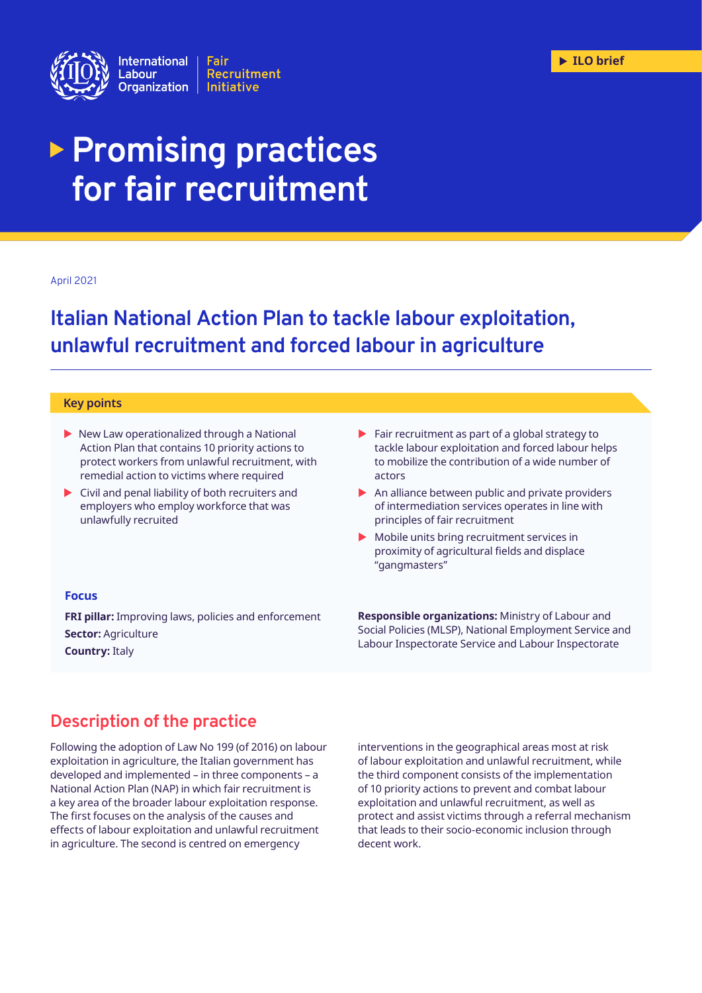

# **Promising practices for fair recruitment**

#### April 2021

# **Italian National Action Plan to tackle labour exploitation, unlawful recruitment and forced labour in agriculture**

#### **Key points**

- $\blacktriangleright$  New Law operationalized through a National Action Plan that contains 10 priority actions to protect workers from unlawful recruitment, with remedial action to victims where required
- $\triangleright$  Civil and penal liability of both recruiters and employers who employ workforce that was unlawfully recruited
- $\blacktriangleright$  Fair recruitment as part of a global strategy to tackle labour exploitation and forced labour helps to mobilize the contribution of a wide number of actors
- $\triangleright$  An alliance between public and private providers of intermediation services operates in line with principles of fair recruitment
- $\blacktriangleright$  Mobile units bring recruitment services in proximity of agricultural fields and displace "gangmasters"

### **Focus**

**FRI pillar:** Improving laws, policies and enforcement **Sector:** Agriculture **Country:** Italy

**Responsible organizations:** Ministry of Labour and Social Policies (MLSP), National Employment Service and Labour Inspectorate Service and Labour Inspectorate

### **Description of the practice**

Following the adoption of Law No 199 (of 2016) on labour exploitation in agriculture, the Italian government has developed and implemented – in three components – a National Action Plan (NAP) in which fair recruitment is a key area of the broader labour exploitation response. The first focuses on the analysis of the causes and effects of labour exploitation and unlawful recruitment in agriculture. The second is centred on emergency

interventions in the geographical areas most at risk of labour exploitation and unlawful recruitment, while the third component consists of the implementation of 10 priority actions to prevent and combat labour exploitation and unlawful recruitment, as well as protect and assist victims through a referral mechanism that leads to their socio-economic inclusion through decent work.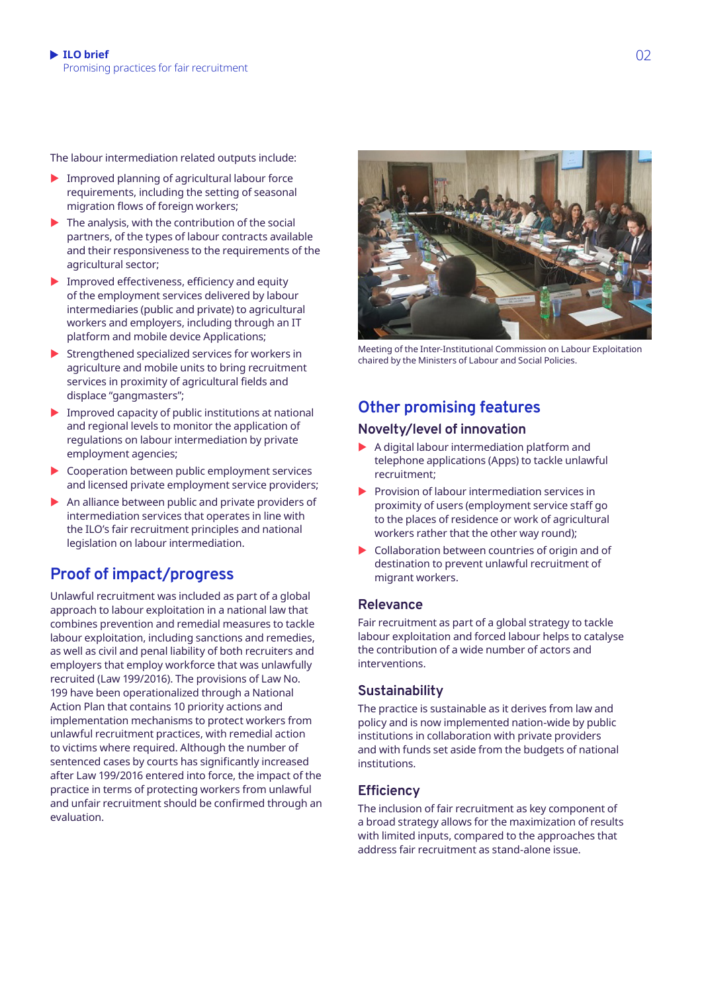The labour intermediation related outputs include:

- $\blacktriangleright$  Improved planning of agricultural labour force requirements, including the setting of seasonal migration flows of foreign workers;
- $\blacktriangleright$  The analysis, with the contribution of the social partners, of the types of labour contracts available and their responsiveness to the requirements of the agricultural sector;
- $\blacktriangleright$  Improved effectiveness, efficiency and equity of the employment services delivered by labour intermediaries (public and private) to agricultural workers and employers, including through an IT platform and mobile device Applications;
- $\blacktriangleright$  Strengthened specialized services for workers in agriculture and mobile units to bring recruitment services in proximity of agricultural fields and displace "gangmasters";
- $\blacktriangleright$  Improved capacity of public institutions at national and regional levels to monitor the application of regulations on labour intermediation by private employment agencies;
- $\triangleright$  Cooperation between public employment services and licensed private employment service providers;
- $\blacktriangleright$  An alliance between public and private providers of intermediation services that operates in line with the ILO's fair recruitment principles and national legislation on labour intermediation.

### **Proof of impact/progress**

Unlawful recruitment was included as part of a global approach to labour exploitation in a national law that combines prevention and remedial measures to tackle labour exploitation, including sanctions and remedies, as well as civil and penal liability of both recruiters and employers that employ workforce that was unlawfully recruited (Law 199/2016). The provisions of Law No. 199 have been operationalized through a National Action Plan that contains 10 priority actions and implementation mechanisms to protect workers from unlawful recruitment practices, with remedial action to victims where required. Although the number of sentenced cases by courts has significantly increased after Law 199/2016 entered into force, the impact of the practice in terms of protecting workers from unlawful and unfair recruitment should be confirmed through an evaluation.



Meeting of the Inter-Institutional Commission on Labour Exploitation chaired by the Ministers of Labour and Social Policies.

## **Other promising features**

### **Novelty/level of innovation**

- $\blacktriangleright$  A digital labour intermediation platform and telephone applications (Apps) to tackle unlawful recruitment;
- $\blacktriangleright$  Provision of labour intermediation services in proximity of users (employment service staff go to the places of residence or work of agricultural workers rather that the other way round);
- $\triangleright$  Collaboration between countries of origin and of destination to prevent unlawful recruitment of migrant workers.

### **Relevance**

Fair recruitment as part of a global strategy to tackle labour exploitation and forced labour helps to catalyse the contribution of a wide number of actors and interventions.

### **Sustainability**

The practice is sustainable as it derives from law and policy and is now implemented nation-wide by public institutions in collaboration with private providers and with funds set aside from the budgets of national institutions.

### **Efficiency**

The inclusion of fair recruitment as key component of a broad strategy allows for the maximization of results with limited inputs, compared to the approaches that address fair recruitment as stand-alone issue.